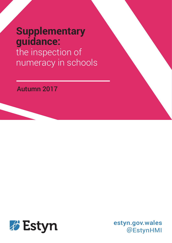# **Supplementary guidance:** the inspection of numeracy in schools

# Autumn 2017



estyn.gov.wales @EstynHMI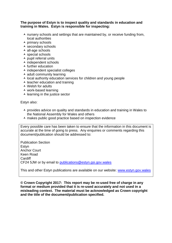#### **The purpose of Estyn is to inspect quality and standards in education and training in Wales. Estyn is responsible for inspecting:**

- $\lambda$  nursery schools and settings that are maintained by, or receive funding from, local authorities
- $\overline{\phantom{a}}$  primary schools
- $\overline{\phantom{a}}$  secondary schools
- $\overline{\phantom{a}}$  all-age schools
- $\overline{\phantom{a}}$  special schools
- $\overline{\phantom{a}}$  pupil referral units
- $\overline{\phantom{a}}$  independent schools
- $\overline{\phantom{a}}$  further education
- $\overline{\phantom{a}}$  independent specialist colleges
- $\overline{\phantom{a}}$  adult community learning
- $\lambda$  local authority education services for children and young people
- $\overline{\phantom{a}}$  teacher education and training
- $\triangle$  Welsh for adults
- work-based learning
- $\overline{\phantom{a}}$  learning in the justice sector

Estyn also:

- $\lambda$  provides advice on quality and standards in education and training in Wales to the National Assembly for Wales and others
- $\lambda$  makes public good practice based on inspection evidence

Every possible care has been taken to ensure that the information in this document is accurate at the time of going to press. Any enquiries or comments regarding this document/publication should be addressed to:

Publication Section **Estyn** Anchor Court Keen Road **Cardiff** CF24 5JW or by email to [publications@estyn.gsi.gov.wales](mailto:publications@estyn.gsi.gov.wales)

This and other Estyn publications are available on our website: [www.estyn.gov.wales](http://www.estyn.gov.wales/)

**© Crown Copyright 2017: This report may be re-used free of charge in any format or medium provided that it is re-used accurately and not used in a misleading context. The material must be acknowledged as Crown copyright and the title of the document/publication specified.**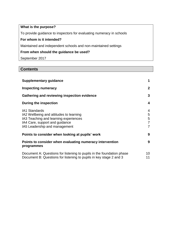# **What is the purpose?**

To provide guidance to inspectors for evaluating numeracy in schools

# **For whom is it intended?**

Maintained and independent schools and non-maintained settings

#### **From when should the guidance be used?**

September 2017

# **Contents**

| <b>Supplementary guidance</b>                                                                                                                                               | 1                                  |
|-----------------------------------------------------------------------------------------------------------------------------------------------------------------------------|------------------------------------|
| <b>Inspecting numeracy</b>                                                                                                                                                  | $\mathbf{2}$                       |
| Gathering and reviewing inspection evidence                                                                                                                                 | 3                                  |
| During the inspection                                                                                                                                                       | 4                                  |
| <b>IA1 Standards</b><br>IA2 Wellbeing and attitudes to learning<br>IA3 Teaching and learning experiences<br>IA4 Care, support and guidance<br>IA5 Leadership and management | 4<br>5<br>5<br>7<br>$\overline{7}$ |
| Points to consider when looking at pupils' work                                                                                                                             | 9                                  |
| Points to consider when evaluating numeracy intervention<br>programmes                                                                                                      | 9                                  |
| Document A: Questions for listening to pupils in the foundation phase<br>Document B: Questions for listening to pupils in key stage 2 and 3                                 | 10<br>11                           |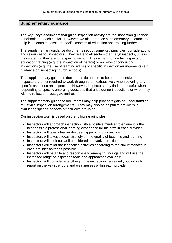# **Supplementary guidance**

The key Estyn documents that guide inspection activity are the inspection guidance handbooks for each sector. However, we also produce supplementary guidance to help inspectors to consider specific aspects of education and training further.

The supplementary guidance documents set out some key principles, considerations and resources for inspectors. They relate to all sectors that Estyn inspects, unless they state that they are for a specific sector. They expand on certain aspects of education/training (e.g. the inspection of literacy) or on ways of conducting inspections (e.g. the use of learning walks) or specific inspection arrangements (e.g. guidance on inspecting church schools).

The supplementary guidance documents do not aim to be comprehensive. Inspectors are not required to work through them exhaustively when covering any specific aspect on an inspection. However, inspectors may find them useful when responding to specific emerging questions that arise during inspections or when they wish to reflect or investigate further.

The supplementary guidance documents may help providers gain an understanding of Estyn's inspection arrangements. They may also be helpful to providers in evaluating specific aspects of their own provision.

Our inspection work is based on the following principles:

- Inspectors will approach inspection with a positive mindset to ensure it is the best possible professional learning experience for the staff in each provider
- Inspectors will take a learner-focused approach to inspection
- Inspectors will always focus strongly on the quality of teaching and learning
- Inspectors will seek out well-considered innovative practice
- Inspectors will tailor the inspection activities according to the circumstances in each provider as far as possible
- Inspectors will be agile and responsive to emerging findings and will use the increased range of inspection tools and approaches available
- Inspectors will consider everything in the inspection framework, but will only report on the key strengths and weaknesses within each provider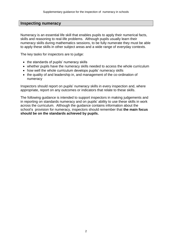#### **Inspecting numeracy**

Numeracy is an essential life skill that enables pupils to apply their numerical facts, skills and reasoning to real-life problems. Although pupils usually learn their numeracy skills during mathematics sessions, to be fully numerate they must be able to apply these skills in other subject areas and a wide range of everyday contexts.

The key tasks for inspectors are to judge:

- the standards of pupils' numeracy skills
- whether pupils have the numeracy skills needed to access the whole curriculum
- how well the whole curriculum develops pupils' numeracy skills
- the quality of and leadership in, and management of the co-ordination of numeracy

Inspectors should report on pupils' numeracy skills in every inspection and, where appropriate, report on any outcomes or indicators that relate to these skills.

The following guidance is intended to support inspectors in making judgements and in reporting on standards numeracy and on pupils' ability to use these skills in work across the curriculum. Although the guidance contains information about the school's provision for numeracy, inspectors should remember that **the main focus should be on the standards achieved by pupils.**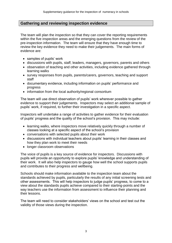# **Gathering and reviewing inspection evidence**

The team will plan the inspection so that they can cover the reporting requirements within the five inspection areas and the emerging questions from the review of the pre-inspection information. The team will ensure that they have enough time to review the key evidence they need to make their judgements. The main forms of evidence are:

- samples of pupils' work
- discussions with pupils, staff, leaders, managers, governors, parents and others
- observation of teaching and other activities, including evidence gathered through learning walks
- survey responses from pupils, parents/carers, governors, teaching and support staff
- documentary evidence, including information on pupils' performance and progress
- information from the local authority/regional consortium

The team will use direct observation of pupils' work wherever possible to gather evidence to support their judgements. Inspectors may select an additional sample of pupils' work, if required, to further their investigation in a specific aspect.

Inspectors will undertake a range of activities to gather evidence for their evaluation of pupils' progress and the quality of the school's provision. This may include:

- learning walks, where inspectors move relatively quickly through a number of classes looking at a specific aspect of the school's provision
- conversations with selected pupils about their work
- discussions with individual teachers about pupils' learning in their classes and how they plan work to meet their needs
- longer classroom observations

The voice of pupils is a key source of evidence for inspectors. Discussions with pupils will provide an opportunity to explore pupils' knowledge and understanding of their work. It will also help inspectors to gauge how well the school supports pupils and contributes to their progress and wellbeing.

Schools should make information available to the inspection team about the standards achieved by pupils, particularly the results of any initial screening tests and other assessments. This will help inspectors to judge pupils' progress, to come to a view about the standards pupils achieve compared to their starting-points and the way teachers use the information from assessment to influence their planning and their lessons.

The team will need to consider stakeholders' views on the school and test out the validity of those views during the inspection.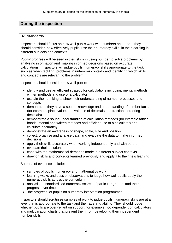# **During the inspection**

#### **IA1 Standards**

Inspectors should focus on how well pupils work with numbers and data. They should consider how effectively pupils use their numeracy skills in their learning in different subjects and contexts.

Pupils' progress will be seen in their skills in using number to solve problems by analysing information and making informed decisions based on accurate calculations. Inspectors will judge pupils' numeracy skills appropriate to the task, such as when tackling problems in unfamiliar contexts and identifying which skills and concepts are relevant to the problem.

Inspectors should consider how well pupils:

- identify and use an efficient strategy for calculations including, mental methods, written methods and use of a calculator
- explain their thinking to show their understanding of number processes and concepts
- demonstrate they have a secure knowledge and understanding of number facts (for example, place value, equivalence of decimals and fractions, ordering decimals)
- demonstrate a sound understanding of calculation methods (for example tables, bonds, mental and written methods and efficient use of a calculator) and calculate accurately
- demonstrate an awareness of shape, scale, size and position
- collect, organise and analyse data, and evaluate the data to make informed decisions
- apply their skills accurately when working independently and with others
- evaluate their solutions
- cope with the mathematical demands made in different subject contexts
- draw on skills and concepts learned previously and apply it to their new learning

Sources of evidence include:

- samples of pupils' numeracy and mathematics work
- learning walks and session observations to judge how well pupils apply their numeracy skills across the curriculum
- analysis of standardised numeracy scores of particular groups and their progress over time
- the progress of pupils on numeracy intervention programmes

Inspectors should scrutinise samples of work to judge pupils' numeracy skills are at a level that is appropriate to the task and their age and ability. They should judge whether pupils are over-reliant on support, for example, too dependent on calculators and multiplication charts that prevent them from developing their independent number skills.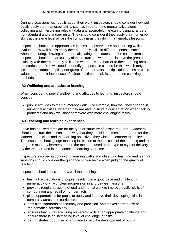During discussions with pupils about their work, inspectors should consider how well pupils apply their numeracy skills, such as in performing mental calculations, collecting and interpreting relevant data and accurately measuring using a range of non-standard and standard units. They should consider if they apply their numeracy skills at the same level across the curriculum as they do in mathematics lessons.

Inspectors should use opportunities in session observations and learning walks to evaluate how well pupils apply their numeracy skills in different contexts such as when measuring, drawing charts or calculating time, dates and the cost of items. Inspectors should be particularly alert to situations where pupils have the greatest difficulty with their numeracy skills and where this is a barrier to their learning across the curriculum. You will need to identify the possible causes for this, which may include for example pupils' poor grasp of number facts, multiplication tables or place value, and/or their lack of use of suitable estimation skills and routine checking methods.

#### **IA2 Wellbeing and attitudes to learning**

When considering pupils' wellbeing and attitudes to learning, inspectors should consider:

 pupils' attitudes to their numeracy work. For example, how well they engage in numerical activities, whether they are able to sustain concentration when tackling problems and how well they persevere with more challenging tasks

#### **IA3 Teaching and learning experiences**

Estyn has no fixed template for the type or structure of lesson required. Teachers should structure the lesson in the way that they consider is most appropriate for the leaners in the class and the learning objectives they wish the learners to achieve. The inspector should judge teaching in relation to the success of the learning and the progress made by learners, not on the methods used or the type or style of delivery by the teacher, and in the context of learning over time.

Inspectors involved in conducting learning walks and observing teaching and learning sessions should consider the guidance shown below when judging the quality of teaching.

Inspectors should consider how well the teaching:

- has high expectations of pupils, resulting in a good pace and challenging numeracy work, with clear progression in and between lessons
- provides regular sessions of oral and mental work to improve pupils' skills of computation and recall of number facts
- plans opportunities for pupils to apply and improve their developing skills in numeracy across the curriculum
- sets high standards of accuracy and precision and makes correct use of mathematical terminology
- ensures that pupils are using numeracy skills at an appropriate challenge and ensure there is an increasing level of challenge in tasks
- demonstrates good use of language to help the development of pupils'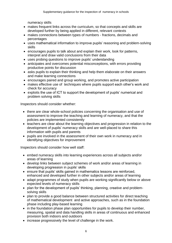numeracy skills

- makes frequent links across the curriculum, so that concepts and skills are developed further by being applied in different, relevant contexts
- makes connections between types of numbers fractions, decimals and percentages
- uses mathematical information to improve pupils' reasoning and problem-solving skills
- encourages pupils to talk about and explain their work, look for patterns, interpret and draw valid conclusions from their data
- uses probing questions to improve pupils' understanding
- anticipates and overcomes potential misconceptions, with errors providing productive points for discussion
- asks pupils to explain their thinking and help them elaborate on their answers and make learning connections
- encourages paired and group working, and promotes active participation
- makes effective use of techniques where pupils support each other's work and check for accuracy
- exploits the use of ICT to support the development of pupils' numerical and problem solving skills

Inspectors should consider whether:

- there are clear whole-school policies concerning the organisation and use of assessment to improve the teaching and learning of numeracy, and that the policies are implemented consistently
- teachers are clear about the learning objectives and progression in relation to the development of pupils' numeracy skills and are well-placed to share this information with pupils and parents
- pupils are involved in the assessment of their own work in numeracy and in identifying objectives for improvement

Inspectors should consider how well staff:

- embed numeracy skills into learning experiences across all subjects and/or areas of learning
- develop links between subject schemes of work and/or areas of learning in developing progression in pupils' skills
- ensure that pupils' skills gained in mathematics lessons are reinforced, enhanced and developed further in other subjects and/or areas of learning
- adapt programmes of study when pupils are working significantly below or above expected levels of numeracy skills
- plan for the development of pupils' thinking, planning, creative and problemsolving skills
- plan to provide a good balance between structured activities for direct teaching of mathematical development and active approaches, such as in the foundation phase including play-based learning
- in the foundation phase plan opportunities for pupils to develop their number, measuring, spatial and data handling skills in areas of continuous and enhanced provision both indoors and outdoors
- increase progressively the level of challenge in the work.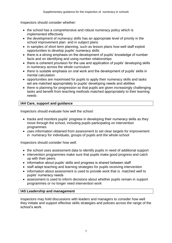Inspectors should consider whether:

- the school has a comprehensive and robust numeracy policy which is implemented effectively
- the development of numeracy skills has an appropriate level of priority in the school improvement plan and in subject plans
- in samples of short term planning, such as lesson plans how well staff exploit opportunities to develop pupils' numeracy skills
- there is a strong emphasis on the development of pupils' knowledge of number facts and on identifying and using number relationships
- there is coherent provision for the use and application of pupils' developing skills in numeracy across the whole curriculum
- there is suitable emphasis on oral work and the development of pupils' skills in mental calculation
- opportunities are maximised for pupils to apply their numeracy skills and tasks set are matched appropriately to pupils' developing needs and abilities
- there is planning for progression so that pupils are given increasingly challenging tasks and benefit from teaching methods matched appropriately to their learning needs

# **IA4 Care, support and guidance**

Inspectors should evaluate how well the school:

- tracks and monitors pupils' progress in developing their numeracy skills as they move through the school, including pupils participating on intervention programmes
- uses information obtained from assessment to set clear targets for improvement in numeracy for individuals, groups of pupils and the whole-school

Inspectors should consider how well:

- the school uses assessment data to identify pupils in need of additional support
- intervention programmes make sure that pupils make good progress and catch up with their peers
- information about pupils' skills and progress is shared between staff
- staff adapt teaching and learning strategies for pupils receiving intervention
- information about assessment is used to provide work that is matched well to pupils' numeracy needs
- assessment is used to inform decisions about whether pupils remain in support programmes or no longer need intervention work

# **IA5 Leadership and management**

Inspectors may hold discussions with leaders and managers to consider how well they initiate and support effective skills strategies and policies across the range of the school's work.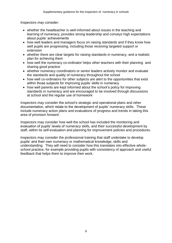Inspectors may consider:

- whether the headteacher is well-informed about issues in the teaching and learning of numeracy, provides strong leadership and conveys high expectations about pupils' achievements
- how well leaders and managers focus on raising standards and if they know how well pupils are progressing, including those receiving targeted support or extension
- whether there are clear targets for raising standards in numeracy, and a realistic plan for achieving them
- how well the numeracy co-ordinator helps other teachers with their planning and sharing good practice
- whether numeracy coordinators or senior leaders actively monitor and evaluate the standards and quality of numeracy throughout the school
- how well co-ordinators for other subiects are alert to the opportunities that exist within those subjects for improving pupils' skills in numeracy
- how well parents are kept informed about the school's policy for improving standards in numeracy and are encouraged to be involved through discussions at school and the regular use of homework

Inspectors may consider the school's strategic and operational plans and other documentation, which relate to the development of pupils' numeracy skills. These include numeracy action plans and evaluations of progress and trends in taking this area of provision forward.

Inspectors may consider how well the school has included the monitoring and evaluation of pupils' levels of numeracy skills, and their successful development by staff, within its self-evaluation and planning for improvement policies and procedures.

Inspectors may consider the professional training that staff undertake to develop pupils' and their own numeracy or mathematical knowledge, skills and understanding. They will need to consider how this translates into effective wholeschool practice, for example providing pupils with consistency of approach and useful feedback that helps them to improve their work.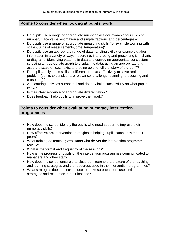# **Points to consider when looking at pupils' work**

- Do pupils use a range of appropriate number skills (for example four rules of number, place value, estimation and simple fractions and percentages)?
- Do pupils use a range of appropriate measuring skills (for example working with scales, units of measurements, time, temperature)?
- Do pupils use an appropriate range of data handling skills (for example gather information in a variety of ways, recording, interpreting and presenting it in charts or diagrams, identifying patterns in data and conveying appropriate conclusions, selecting an appropriate graph to display the data, using an appropriate and accurate scale on each axis, and being able to tell the 'story of a graph')?
- Do pupils apply these skills in different contexts effectively to solve real-life problem (points to consider are relevance, challenge, planning, processing and reasoning)?
- Are learning activities purposeful and do they build successfully on what pupils know?
- Is their clear evidence of appropriate differentiation?
- Does feedback help pupils to improve their work?

# **Points to consider when evaluating numeracy intervention programmes**

- How does the school identify the pupils who need support to improve their numeracy skills?
- How effective are intervention strategies in helping pupils catch up with their peers?
- What training do teaching assistants who deliver the intervention programme receive?
- What is the format and frequency of the sessions?
- How is the progress of pupils on the intervention programmes communicated to managers and other staff?
- How does the school ensure that classroom teachers are aware of the teaching and learning strategies and the resources used in the intervention programmes?
- What strategies does the school use to make sure teachers use similar strategies and resources in their lessons?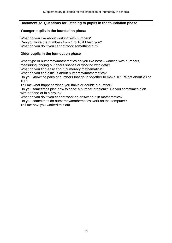#### **Document A: Questions for listening to pupils in the foundation phase**

#### **Younger pupils in the foundation phase**

What do you like about working with numbers? Can you write the numbers from 1 to 10 if I help you? What do you do if you cannot work something out?

#### **Older pupils in the foundation phase**

What type of numeracy/mathematics do you like best – working with numbers,

measuring, finding out about shapes or working with data?

What do you find easy about numeracy/mathematics?

What do you find difficult about numeracy/mathematics?

Do you know the pairs of numbers that go to together to make 10? What about 20 or 100?

Tell me what happens when you halve or double a number?

Do you sometimes plan how to solve a number problem? Do you sometimes plan with a friend or in a group?

What do you do if you cannot work an answer out in mathematics?

Do you sometimes do numeracy/mathematics work on the computer?

Tell me how you worked this out.